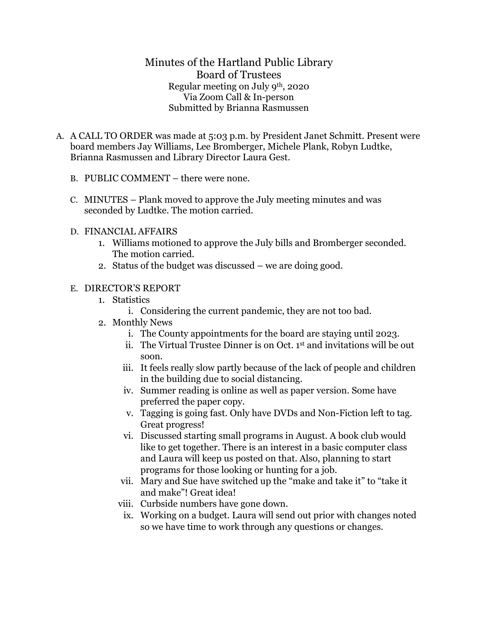Minutes of the Hartland Public Library Board of Trustees Regular meeting on July 9th, 2020 Via Zoom Call & In-person Submitted by Brianna Rasmussen

- A. A CALL TO ORDER was made at 5:03 p.m. by President Janet Schmitt. Present were board members Jay Williams, Lee Bromberger, Michele Plank, Robyn Ludtke, Brianna Rasmussen and Library Director Laura Gest.
	- B. PUBLIC COMMENT there were none.
	- C. MINUTES Plank moved to approve the July meeting minutes and was seconded by Ludtke. The motion carried.
	- D. FINANCIAL AFFAIRS
		- 1. Williams motioned to approve the July bills and Bromberger seconded. The motion carried.
		- 2. Status of the budget was discussed we are doing good.
	- E. DIRECTOR'S REPORT
		- 1. Statistics
			- i. Considering the current pandemic, they are not too bad.
		- 2. Monthly News
			- i. The County appointments for the board are staying until 2023.
			- ii. The Virtual Trustee Dinner is on Oct. 1st and invitations will be out soon.
			- iii. It feels really slow partly because of the lack of people and children in the building due to social distancing.
			- iv. Summer reading is online as well as paper version. Some have preferred the paper copy.
			- v. Tagging is going fast. Only have DVDs and Non-Fiction left to tag. Great progress!
			- vi. Discussed starting small programs in August. A book club would like to get together. There is an interest in a basic computer class and Laura will keep us posted on that. Also, planning to start programs for those looking or hunting for a job.
			- vii. Mary and Sue have switched up the "make and take it" to "take it and make"! Great idea!
			- viii. Curbside numbers have gone down.
			- ix. Working on a budget. Laura will send out prior with changes noted so we have time to work through any questions or changes.